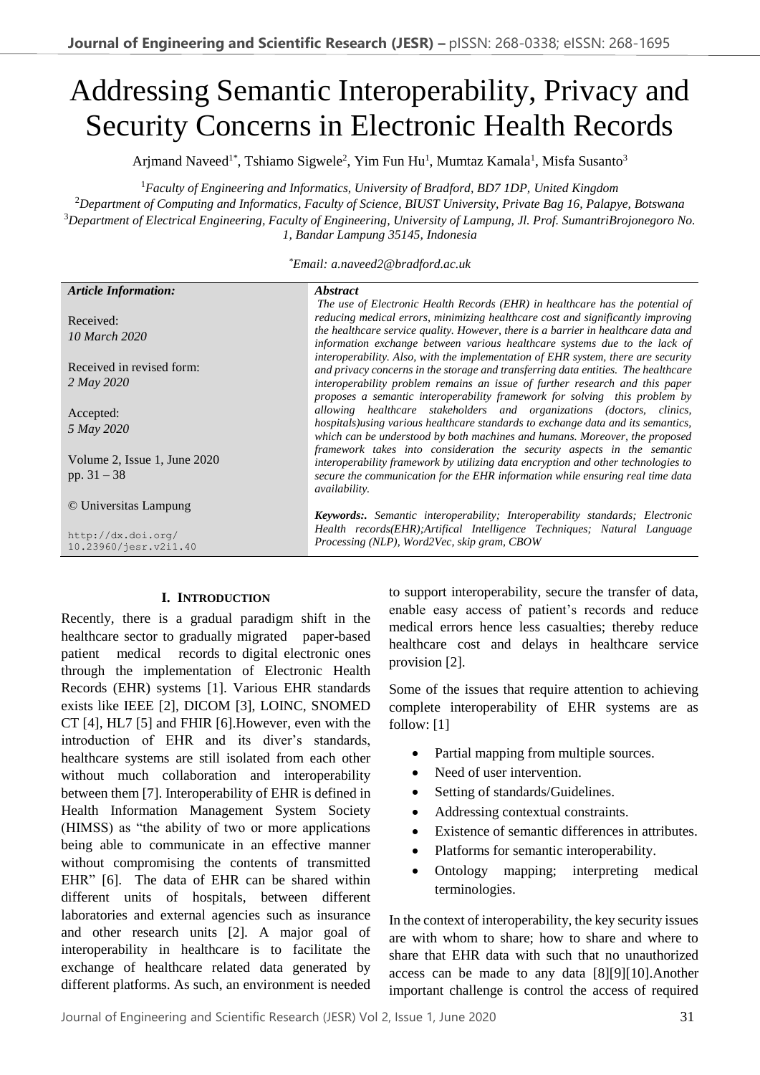# Addressing Semantic Interoperability, Privacy and Security Concerns in Electronic Health Records

Arjmand Naveed<sup>1\*</sup>, Tshiamo Sigwele<sup>2</sup>, Yim Fun Hu<sup>1</sup>, Mumtaz Kamala<sup>1</sup>, Misfa Susanto<sup>3</sup>

<sup>1</sup>*Faculty of Engineering and Informatics, University of Bradford, BD7 1DP, United Kingdom*

<sup>2</sup>*Department of Computing and Informatics, Faculty of Science, BIUST University, Private Bag 16, Palapye, Botswana* <sup>3</sup>*Department of Electrical Engineering, Faculty of Engineering, University of Lampung, Jl. Prof. SumantriBrojonegoro No. 1, Bandar Lampung 35145, Indonesia*

*\*Email: a.naveed2@bradford.ac.uk*

| <b>Article Information:</b>                                          | <i><b>Abstract</b></i>                                                                                                                                                                                                                                                                                                                |  |
|----------------------------------------------------------------------|---------------------------------------------------------------------------------------------------------------------------------------------------------------------------------------------------------------------------------------------------------------------------------------------------------------------------------------|--|
| Received:<br>10 March 2020                                           | The use of Electronic Health Records (EHR) in healthcare has the potential of<br>reducing medical errors, minimizing healthcare cost and significantly improving<br>the healthcare service quality. However, there is a barrier in healthcare data and<br>information exchange between various healthcare systems due to the lack of  |  |
| Received in revised form:<br>2 May 2020                              | interoperability. Also, with the implementation of EHR system, there are security<br>and privacy concerns in the storage and transferring data entities. The healthcare<br>interoperability problem remains an issue of further research and this paper<br>proposes a semantic interoperability framework for solving this problem by |  |
| Accepted:<br>5 May 2020                                              | allowing healthcare stakeholders and organizations (doctors, clinics,<br>hospitals) using various healthcare standards to exchange data and its semantics,<br>which can be understood by both machines and humans. Moreover, the proposed                                                                                             |  |
| Volume 2, Issue 1, June 2020<br>pp. $31 - 38$                        | framework takes into consideration the security aspects in the semantic<br>interoperability framework by utilizing data encryption and other technologies to<br>secure the communication for the EHR information while ensuring real time data<br><i>availability.</i>                                                                |  |
| © Universitas Lampung<br>http://dx.doi.org/<br>10.23960/jesr.v2i1.40 | <b>Keywords:.</b> Semantic interoperability; Interoperability standards; Electronic<br>Health records(EHR); Artifical Intelligence Techniques; Natural Language<br>Processing (NLP), Word2Vec, skip gram, CBOW                                                                                                                        |  |

## **I. INTRODUCTION**

Recently, there is a gradual paradigm shift in the healthcare sector to gradually migrated paper-based patient medical records to digital electronic ones through the implementation of Electronic Health Records (EHR) systems [1]. Various EHR standards exists like IEEE [2], DICOM [3], LOINC, SNOMED CT [4], HL7 [5] and FHIR [6].However, even with the introduction of EHR and its diver's standards, healthcare systems are still isolated from each other without much collaboration and interoperability between them [7]. Interoperability of EHR is defined in Health Information Management System Society (HIMSS) as "the ability of two or more applications being able to communicate in an effective manner without compromising the contents of transmitted EHR" [6]. The data of EHR can be shared within different units of hospitals, between different laboratories and external agencies such as insurance and other research units [2]. A major goal of interoperability in healthcare is to facilitate the exchange of healthcare related data generated by different platforms. As such, an environment is needed

to support interoperability, secure the transfer of data, enable easy access of patient's records and reduce medical errors hence less casualties; thereby reduce healthcare cost and delays in healthcare service provision [2].

Some of the issues that require attention to achieving complete interoperability of EHR systems are as follow: [1]

- Partial mapping from multiple sources.
- Need of user intervention.
- Setting of standards/Guidelines.
- Addressing contextual constraints.
- Existence of semantic differences in attributes.
- Platforms for semantic interoperability.
- Ontology mapping; interpreting medical terminologies.

In the context of interoperability, the key security issues are with whom to share; how to share and where to share that EHR data with such that no unauthorized access can be made to any data [8][9][10].Another important challenge is control the access of required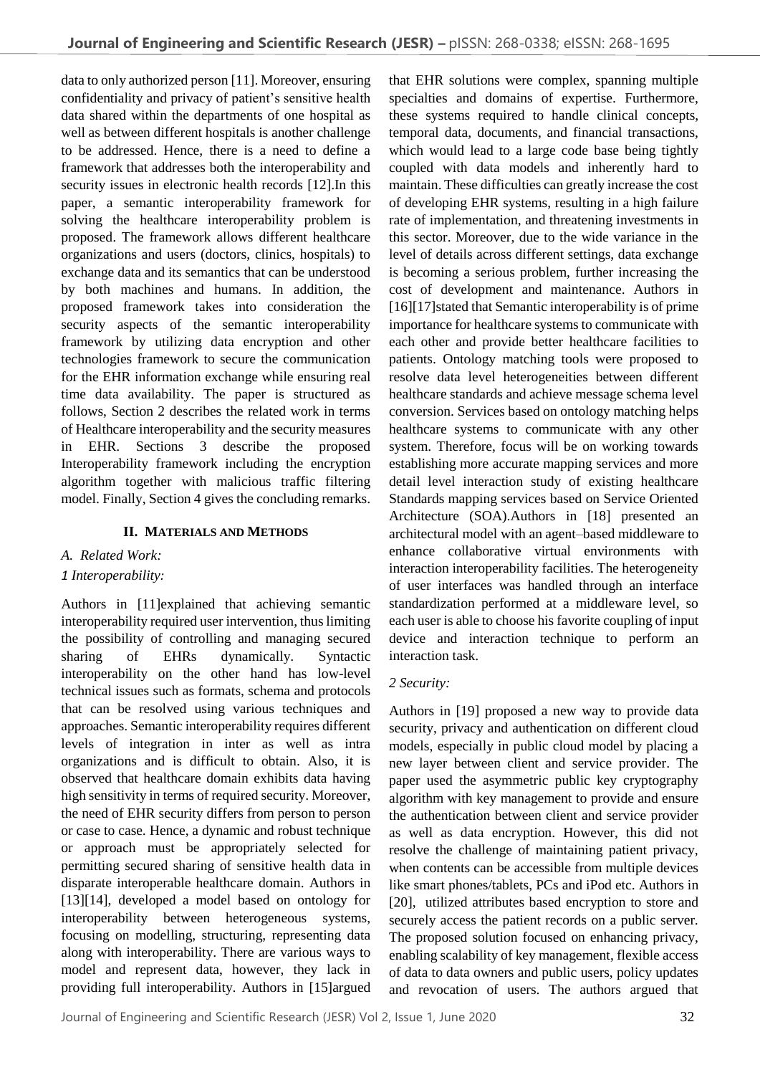data to only authorized person [11]. Moreover, ensuring confidentiality and privacy of patient's sensitive health data shared within the departments of one hospital as well as between different hospitals is another challenge to be addressed. Hence, there is a need to define a framework that addresses both the interoperability and security issues in electronic health records [12]. In this paper, a semantic interoperability framework for solving the healthcare interoperability problem is proposed. The framework allows different healthcare organizations and users (doctors, clinics, hospitals) to exchange data and its semantics that can be understood by both machines and humans. In addition, the proposed framework takes into consideration the security aspects of the semantic interoperability framework by utilizing data encryption and other technologies framework to secure the communication for the EHR information exchange while ensuring real time data availability. The paper is structured as follows, Section 2 describes the related work in terms of Healthcare interoperability and the security measures in EHR. Sections 3 describe the proposed Interoperability framework including the encryption algorithm together with malicious traffic filtering model. Finally, Section 4 gives the concluding remarks.

## **II. MATERIALS AND METHODS**

*A. Related Work:*

## *1 Interoperability:*

Authors in [11]explained that achieving semantic interoperability required user intervention, thus limiting the possibility of controlling and managing secured sharing of EHRs dynamically. Syntactic interoperability on the other hand has low-level technical issues such as formats, schema and protocols that can be resolved using various techniques and approaches. Semantic interoperability requires different levels of integration in inter as well as intra organizations and is difficult to obtain. Also, it is observed that healthcare domain exhibits data having high sensitivity in terms of required security. Moreover, the need of EHR security differs from person to person or case to case. Hence, a dynamic and robust technique or approach must be appropriately selected for permitting secured sharing of sensitive health data in disparate interoperable healthcare domain. Authors in [13][14], developed a model based on ontology for interoperability between heterogeneous systems, focusing on modelling, structuring, representing data along with interoperability. There are various ways to model and represent data, however, they lack in providing full interoperability. Authors in [15]argued

that EHR solutions were complex, spanning multiple specialties and domains of expertise. Furthermore, these systems required to handle clinical concepts, temporal data, documents, and financial transactions, which would lead to a large code base being tightly coupled with data models and inherently hard to maintain. These difficulties can greatly increase the cost of developing EHR systems, resulting in a high failure rate of implementation, and threatening investments in this sector. Moreover, due to the wide variance in the level of details across different settings, data exchange is becoming a serious problem, further increasing the cost of development and maintenance. Authors in [16][17]stated that Semantic interoperability is of prime importance for healthcare systems to communicate with each other and provide better healthcare facilities to patients. Ontology matching tools were proposed to resolve data level heterogeneities between different healthcare standards and achieve message schema level conversion. Services based on ontology matching helps healthcare systems to communicate with any other system. Therefore, focus will be on working towards establishing more accurate mapping services and more detail level interaction study of existing healthcare Standards mapping services based on Service Oriented Architecture (SOA).Authors in [18] presented an architectural model with an agent–based middleware to enhance collaborative virtual environments with interaction interoperability facilities. The heterogeneity of user interfaces was handled through an interface standardization performed at a middleware level, so each user is able to choose his favorite coupling of input device and interaction technique to perform an interaction task.

## *2 Security:*

Authors in [19] proposed a new way to provide data security, privacy and authentication on different cloud models, especially in public cloud model by placing a new layer between client and service provider. The paper used the asymmetric public key cryptography algorithm with key management to provide and ensure the authentication between client and service provider as well as data encryption. However, this did not resolve the challenge of maintaining patient privacy, when contents can be accessible from multiple devices like smart phones/tablets, PCs and iPod etc. Authors in [20], utilized attributes based encryption to store and securely access the patient records on a public server. The proposed solution focused on enhancing privacy, enabling scalability of key management, flexible access of data to data owners and public users, policy updates and revocation of users. The authors argued that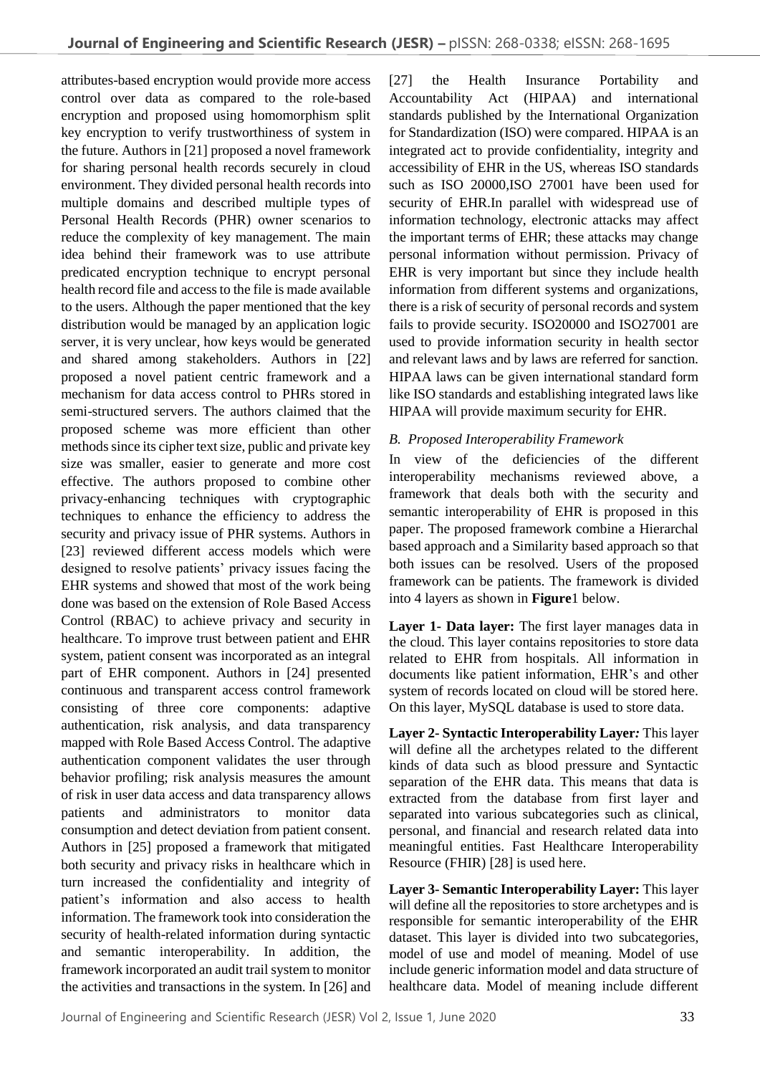attributes-based encryption would provide more access control over data as compared to the role-based encryption and proposed using homomorphism split key encryption to verify trustworthiness of system in the future. Authors in [21] proposed a novel framework for sharing personal health records securely in cloud environment. They divided personal health records into multiple domains and described multiple types of Personal Health Records (PHR) owner scenarios to reduce the complexity of key management. The main idea behind their framework was to use attribute predicated encryption technique to encrypt personal health record file and access to the file is made available to the users. Although the paper mentioned that the key distribution would be managed by an application logic server, it is very unclear, how keys would be generated and shared among stakeholders. Authors in [22] proposed a novel patient centric framework and a mechanism for data access control to PHRs stored in semi-structured servers. The authors claimed that the proposed scheme was more efficient than other methods since its cipher text size, public and private key size was smaller, easier to generate and more cost effective. The authors proposed to combine other privacy-enhancing techniques with cryptographic techniques to enhance the efficiency to address the security and privacy issue of PHR systems. Authors in [23] reviewed different access models which were designed to resolve patients' privacy issues facing the EHR systems and showed that most of the work being done was based on the extension of Role Based Access Control (RBAC) to achieve privacy and security in healthcare. To improve trust between patient and EHR system, patient consent was incorporated as an integral part of EHR component. Authors in [24] presented continuous and transparent access control framework consisting of three core components: adaptive authentication, risk analysis, and data transparency mapped with Role Based Access Control. The adaptive authentication component validates the user through behavior profiling; risk analysis measures the amount of risk in user data access and data transparency allows patients and administrators to monitor data consumption and detect deviation from patient consent. Authors in [25] proposed a framework that mitigated both security and privacy risks in healthcare which in turn increased the confidentiality and integrity of patient's information and also access to health information. The framework took into consideration the security of health-related information during syntactic and semantic interoperability. In addition, the framework incorporated an audit trail system to monitor the activities and transactions in the system. In [26] and

[27] the Health Insurance Portability and Accountability Act (HIPAA) and international standards published by the International Organization for Standardization (ISO) were compared. HIPAA is an integrated act to provide confidentiality, integrity and accessibility of EHR in the US, whereas ISO standards such as ISO 20000,ISO 27001 have been used for security of EHR.In parallel with widespread use of information technology, electronic attacks may affect the important terms of EHR; these attacks may change personal information without permission. Privacy of EHR is very important but since they include health information from different systems and organizations, there is a risk of security of personal records and system fails to provide security. ISO20000 and ISO27001 are used to provide information security in health sector and relevant laws and by laws are referred for sanction. HIPAA laws can be given international standard form like ISO standards and establishing integrated laws like HIPAA will provide maximum security for EHR.

#### *B. Proposed Interoperability Framework*

In view of the deficiencies of the different interoperability mechanisms reviewed above, a framework that deals both with the security and semantic interoperability of EHR is proposed in this paper. The proposed framework combine a Hierarchal based approach and a Similarity based approach so that both issues can be resolved. Users of the proposed framework can be patients. The framework is divided into 4 layers as shown in **Figure**1 below.

**Layer 1- Data layer:** The first layer manages data in the cloud. This layer contains repositories to store data related to EHR from hospitals. All information in documents like patient information, EHR's and other system of records located on cloud will be stored here. On this layer, MySQL database is used to store data.

**Layer 2- Syntactic Interoperability Layer***:* This layer will define all the archetypes related to the different kinds of data such as blood pressure and Syntactic separation of the EHR data. This means that data is extracted from the database from first layer and separated into various subcategories such as clinical, personal, and financial and research related data into meaningful entities. Fast Healthcare Interoperability Resource (FHIR) [28] is used here.

**Layer 3- Semantic Interoperability Layer:** This layer will define all the repositories to store archetypes and is responsible for semantic interoperability of the EHR dataset. This layer is divided into two subcategories, model of use and model of meaning. Model of use include generic information model and data structure of healthcare data. Model of meaning include different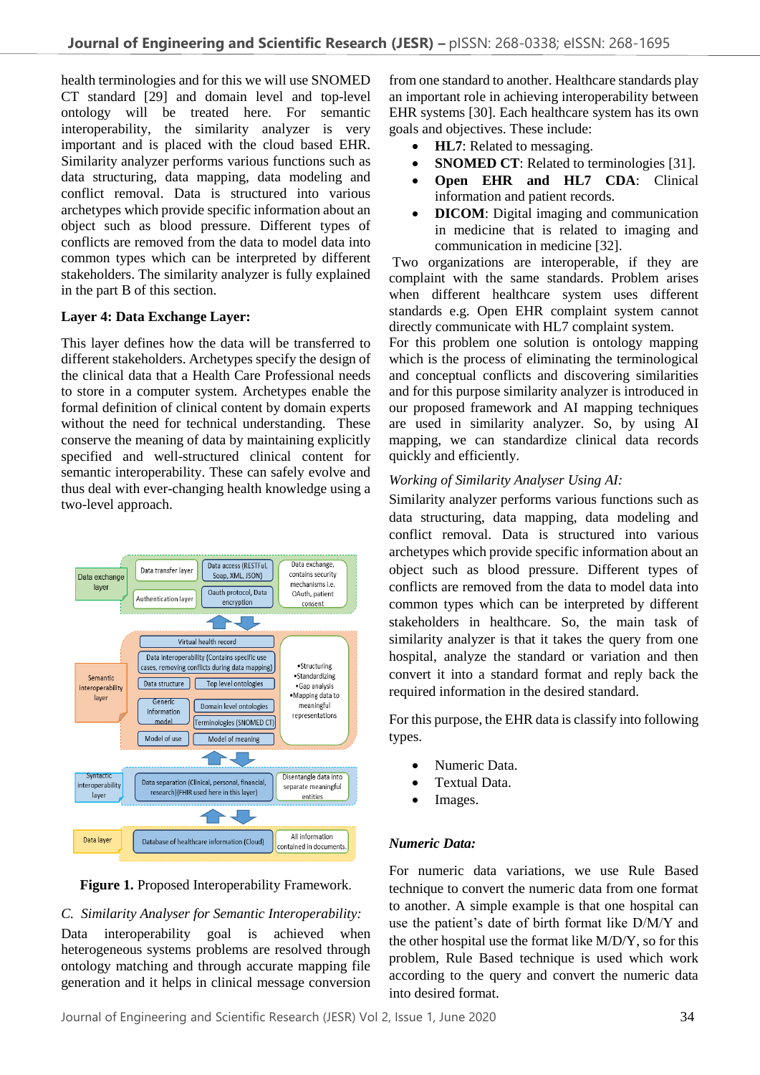health terminologies and for this we will use SNOMED CT standard [29] and domain level and top-level ontology will be treated here. For semantic interoperability, the similarity analyzer is very important and is placed with the cloud based EHR. Similarity analyzer performs various functions such as data structuring, data mapping, data modeling and conflict removal. Data is structured into various archetypes which provide specific information about an object such as blood pressure. Different types of conflicts are removed from the data to model data into common types which can be interpreted by different stakeholders. The similarity analyzer is fully explained in the part B of this section.

## **Layer 4: Data Exchange Layer:**

This layer defines how the data will be transferred to different stakeholders. Archetypes specify the design of the clinical data that a Health Care Professional needs to store in a computer system. Archetypes enable the formal definition of clinical content by domain experts without the need for technical understanding. These conserve the meaning of data by maintaining explicitly specified and well-structured clinical content for semantic interoperability. These can safely evolve and thus deal with ever-changing health knowledge using a two-level approach.





#### *C. Similarity Analyser for Semantic Interoperability:*

Data interoperability goal is achieved when heterogeneous systems problems are resolved through ontology matching and through accurate mapping file generation and it helps in clinical message conversion

from one standard to another. Healthcare standards play an important role in achieving interoperability between EHR systems [30]. Each healthcare system has its own goals and objectives. These include:

- **HL7**: Related to messaging.
- **SNOMED CT**: Related to terminologies [31].
- **Open EHR and HL7 CDA**: Clinical information and patient records.
- **DICOM**: Digital imaging and communication in medicine that is related to imaging and communication in medicine [32].

Two organizations are interoperable, if they are complaint with the same standards. Problem arises when different healthcare system uses different standards e.g. Open EHR complaint system cannot directly communicate with HL7 complaint system.

For this problem one solution is ontology mapping which is the process of eliminating the terminological and conceptual conflicts and discovering similarities and for this purpose similarity analyzer is introduced in our proposed framework and AI mapping techniques are used in similarity analyzer. So, by using AI mapping, we can standardize clinical data records quickly and efficiently.

## *Working of Similarity Analyser Using AI:*

Similarity analyzer performs various functions such as data structuring, data mapping, data modeling and conflict removal. Data is structured into various archetypes which provide specific information about an object such as blood pressure. Different types of conflicts are removed from the data to model data into common types which can be interpreted by different stakeholders in healthcare. So, the main task of similarity analyzer is that it takes the query from one hospital, analyze the standard or variation and then convert it into a standard format and reply back the required information in the desired standard.

For this purpose, the EHR data is classify into following types.

- Numeric Data.
- Textual Data.
- Images.

## *Numeric Data:*

For numeric data variations, we use Rule Based technique to convert the numeric data from one format to another. A simple example is that one hospital can use the patient's date of birth format like D/M/Y and the other hospital use the format like M/D/Y, so for this problem, Rule Based technique is used which work according to the query and convert the numeric data into desired format.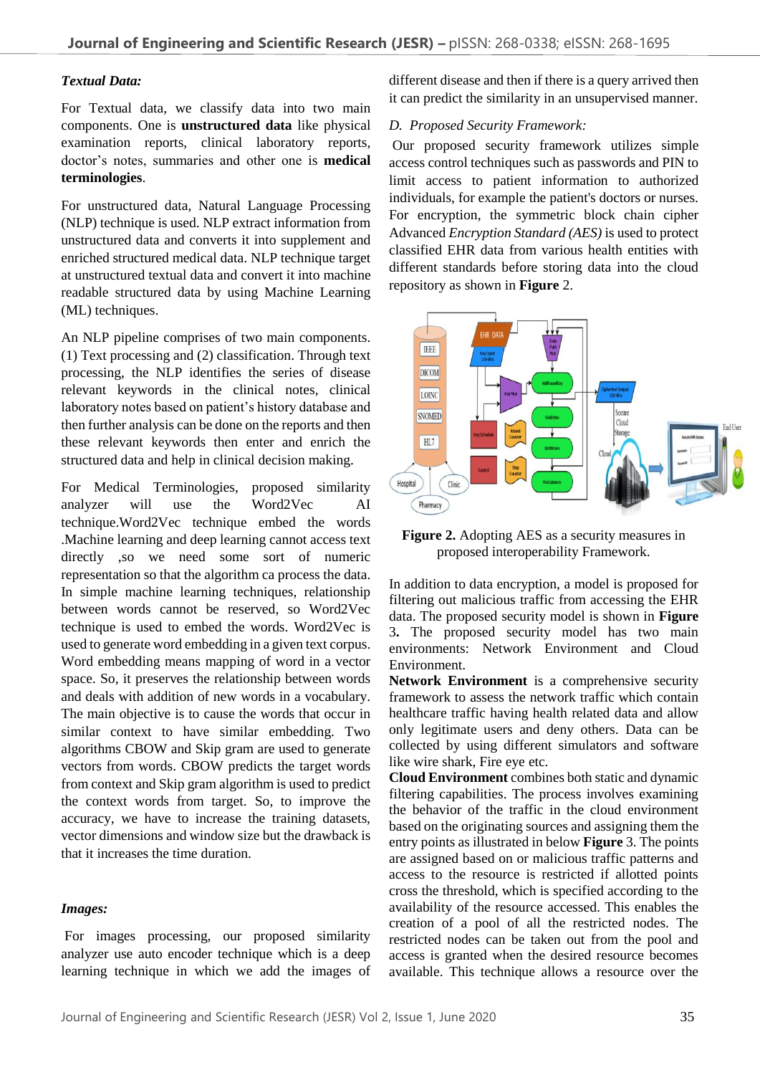## *Textual Data:*

For Textual data, we classify data into two main components. One is **unstructured data** like physical examination reports, clinical laboratory reports, doctor's notes, summaries and other one is **medical terminologies**.

For unstructured data, Natural Language Processing (NLP) technique is used. NLP extract information from unstructured data and converts it into supplement and enriched structured medical data. NLP technique target at unstructured textual data and convert it into machine readable structured data by using Machine Learning (ML) techniques.

An NLP pipeline comprises of two main components. (1) Text processing and (2) classification. Through text processing, the NLP identifies the series of disease relevant keywords in the clinical notes, clinical laboratory notes based on patient's history database and then further analysis can be done on the reports and then these relevant keywords then enter and enrich the structured data and help in clinical decision making.

For Medical Terminologies, proposed similarity analyzer will use the Word2Vec AI technique.Word2Vec technique embed the words .Machine learning and deep learning cannot access text directly ,so we need some sort of numeric representation so that the algorithm ca process the data. In simple machine learning techniques, relationship between words cannot be reserved, so Word2Vec technique is used to embed the words. Word2Vec is used to generate word embedding in a given text corpus. Word embedding means mapping of word in a vector space. So, it preserves the relationship between words and deals with addition of new words in a vocabulary. The main objective is to cause the words that occur in similar context to have similar embedding. Two algorithms CBOW and Skip gram are used to generate vectors from words. CBOW predicts the target words from context and Skip gram algorithm is used to predict the context words from target. So, to improve the accuracy, we have to increase the training datasets, vector dimensions and window size but the drawback is that it increases the time duration.

#### *Images:*

For images processing, our proposed similarity analyzer use auto encoder technique which is a deep learning technique in which we add the images of different disease and then if there is a query arrived then it can predict the similarity in an unsupervised manner.

#### *D. Proposed Security Framework:*

Our proposed security framework utilizes simple access control techniques such as passwords and PIN to limit access to patient information to authorized individuals, for example the patient's doctors or nurses. For encryption, the symmetric block chain cipher Advanced *Encryption Standard (AES)* is used to protect classified EHR data from various health entities with different standards before storing data into the cloud repository as shown in **Figure** 2.



**Figure 2.** Adopting AES as a security measures in proposed interoperability Framework.

In addition to data encryption, a model is proposed for filtering out malicious traffic from accessing the EHR data. The proposed security model is shown in **Figure** 3**.** The proposed security model has two main environments: Network Environment and Cloud Environment.

**Network Environment** is a comprehensive security framework to assess the network traffic which contain healthcare traffic having health related data and allow only legitimate users and deny others. Data can be collected by using different simulators and software like wire shark, Fire eye etc.

**Cloud Environment** combines both static and dynamic filtering capabilities. The process involves examining the behavior of the traffic in the cloud environment based on the originating sources and assigning them the entry points as illustrated in below **Figure** 3. The points are assigned based on or malicious traffic patterns and access to the resource is restricted if allotted points cross the threshold, which is specified according to the availability of the resource accessed. This enables the creation of a pool of all the restricted nodes. The restricted nodes can be taken out from the pool and access is granted when the desired resource becomes available. This technique allows a resource over the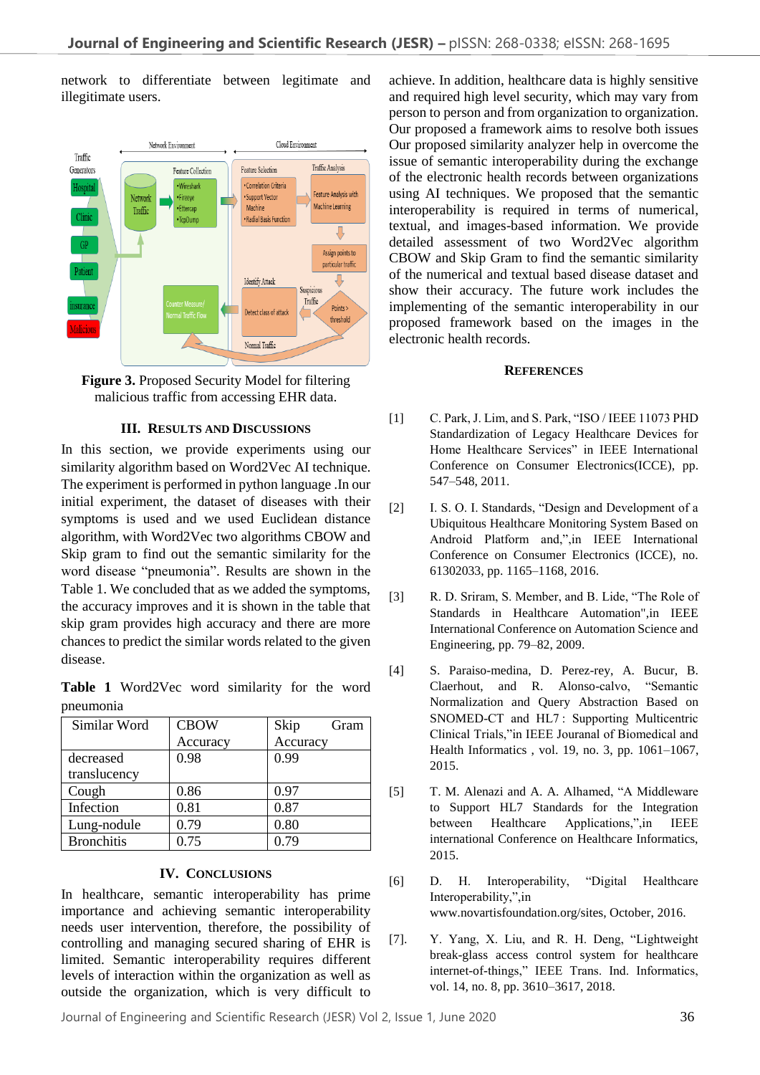network to differentiate between legitimate and illegitimate users.



**Figure 3.** Proposed Security Model for filtering malicious traffic from accessing EHR data.

#### **III. RESULTS AND DISCUSSIONS**

In this section, we provide experiments using our similarity algorithm based on Word2Vec AI technique. The experiment is performed in python language .In our initial experiment, the dataset of diseases with their symptoms is used and we used Euclidean distance algorithm, with Word2Vec two algorithms CBOW and Skip gram to find out the semantic similarity for the word disease "pneumonia". Results are shown in the Table 1. We concluded that as we added the symptoms, the accuracy improves and it is shown in the table that skip gram provides high accuracy and there are more chances to predict the similar words related to the given disease.

**Table 1** Word2Vec word similarity for the word pneumonia

| Similar Word      | <b>CBOW</b> | Skip<br>Gram |
|-------------------|-------------|--------------|
|                   | Accuracy    | Accuracy     |
| decreased         | 0.98        | 0.99         |
| translucency      |             |              |
| Cough             | 0.86        | 0.97         |
| Infection         | 0.81        | 0.87         |
| Lung-nodule       | 0.79        | 0.80         |
| <b>Bronchitis</b> | 0.75        | 0.79         |

#### **IV. CONCLUSIONS**

In healthcare, semantic interoperability has prime importance and achieving semantic interoperability needs user intervention, therefore, the possibility of controlling and managing secured sharing of EHR is limited. Semantic interoperability requires different levels of interaction within the organization as well as outside the organization, which is very difficult to

achieve. In addition, healthcare data is highly sensitive and required high level security, which may vary from person to person and from organization to organization. Our proposed a framework aims to resolve both issues Our proposed similarity analyzer help in overcome the issue of semantic interoperability during the exchange of the electronic health records between organizations using AI techniques. We proposed that the semantic interoperability is required in terms of numerical, textual, and images-based information. We provide detailed assessment of two Word2Vec algorithm CBOW and Skip Gram to find the semantic similarity of the numerical and textual based disease dataset and show their accuracy. The future work includes the implementing of the semantic interoperability in our proposed framework based on the images in the electronic health records.

#### **REFERENCES**

- [1] C. Park, J. Lim, and S. Park, "ISO / IEEE 11073 PHD Standardization of Legacy Healthcare Devices for Home Healthcare Services" in IEEE International Conference on Consumer Electronics(ICCE), pp. 547–548, 2011.
- [2] I. S. O. I. Standards, "Design and Development of a Ubiquitous Healthcare Monitoring System Based on Android Platform and,",in IEEE International Conference on Consumer Electronics (ICCE), no. 61302033, pp. 1165–1168, 2016.
- [3] R. D. Sriram, S. Member, and B. Lide, "The Role of Standards in Healthcare Automation",in IEEE International Conference on Automation Science and Engineering, pp. 79–82, 2009.
- [4] S. Paraiso-medina, D. Perez-rey, A. Bucur, B. Claerhout, and R. Alonso-calvo, "Semantic Normalization and Query Abstraction Based on SNOMED-CT and HL7 : Supporting Multicentric Clinical Trials,"in IEEE Jouranal of Biomedical and Health Informatics , vol. 19, no. 3, pp. 1061–1067, 2015.
- [5] T. M. Alenazi and A. A. Alhamed, "A Middleware to Support HL7 Standards for the Integration between Healthcare Applications,",in IEEE international Conference on Healthcare Informatics, 2015.
- [6] D. H. Interoperability, "Digital Healthcare Interoperability,",in www.novartisfoundation.org/sites, October, 2016.
- [7]. Y. Yang, X. Liu, and R. H. Deng, "Lightweight break-glass access control system for healthcare internet-of-things," IEEE Trans. Ind. Informatics, vol. 14, no. 8, pp. 3610–3617, 2018.

Journal of Engineering and Scientific Research (JESR) Vol 2, Issue 1, June 2020 36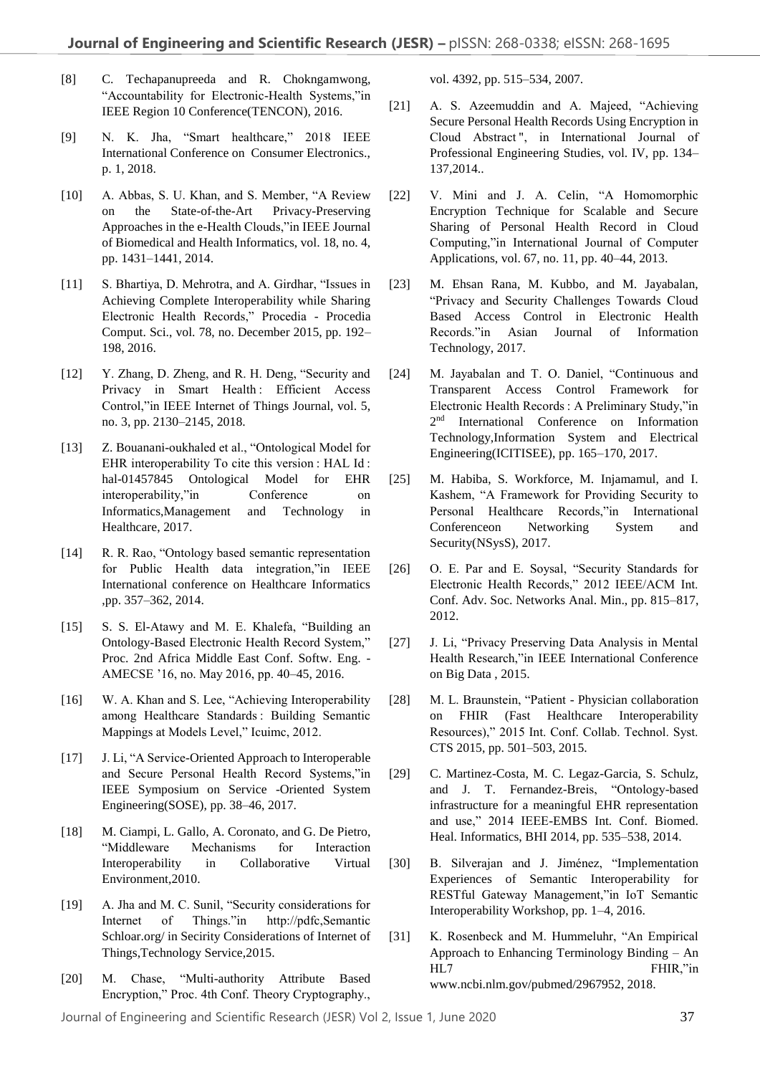- [8] C. Techapanupreeda and R. Chokngamwong, "Accountability for Electronic-Health Systems,"in IEEE Region 10 Conference(TENCON), 2016.
- [9] N. K. Jha, "Smart healthcare," 2018 IEEE International Conference on Consumer Electronics., p. 1, 2018.
- [10] A. Abbas, S. U. Khan, and S. Member, "A Review on the State-of-the-Art Privacy-Preserving Approaches in the e-Health Clouds,"in IEEE Journal of Biomedical and Health Informatics, vol. 18, no. 4, pp. 1431–1441, 2014.
- [11] S. Bhartiya, D. Mehrotra, and A. Girdhar, "Issues in Achieving Complete Interoperability while Sharing Electronic Health Records," Procedia - Procedia Comput. Sci., vol. 78, no. December 2015, pp. 192– 198, 2016.
- [12] Y. Zhang, D. Zheng, and R. H. Deng, "Security and Privacy in Smart Health : Efficient Access Control,"in IEEE Internet of Things Journal, vol. 5, no. 3, pp. 2130–2145, 2018.
- [13] Z. Bouanani-oukhaled et al., "Ontological Model for EHR interoperability To cite this version : HAL Id : hal-01457845 Ontological Model for EHR interoperability,"in Conference on Informatics,Management and Technology in Healthcare, 2017.
- [14] R. R. Rao, "Ontology based semantic representation for Public Health data integration,"in IEEE International conference on Healthcare Informatics ,pp. 357–362, 2014.
- [15] S. S. El-Atawy and M. E. Khalefa, "Building an Ontology-Based Electronic Health Record System," Proc. 2nd Africa Middle East Conf. Softw. Eng. - AMECSE '16, no. May 2016, pp. 40–45, 2016.
- [16] W. A. Khan and S. Lee, "Achieving Interoperability among Healthcare Standards : Building Semantic Mappings at Models Level," Icuimc, 2012.
- [17] J. Li, "A Service-Oriented Approach to Interoperable and Secure Personal Health Record Systems,"in IEEE Symposium on Service -Oriented System Engineering(SOSE), pp. 38–46, 2017.
- [18] M. Ciampi, L. Gallo, A. Coronato, and G. De Pietro, "Middleware Mechanisms for Interaction Interoperability in Collaborative Virtual Environment,2010.
- [19] A. Jha and M. C. Sunil, "Security considerations for Internet of Things."in http://pdfc,Semantic Schloar.org/ in Secirity Considerations of Internet of Things,Technology Service,2015.
- [20] M. Chase, "Multi-authority Attribute Based Encryption," Proc. 4th Conf. Theory Cryptography.,

vol. 4392, pp. 515–534, 2007.

- [21] A. S. Azeemuddin and A. Majeed, "Achieving Secure Personal Health Records Using Encryption in Cloud Abstract ", in International Journal of Professional Engineering Studies, vol. IV, pp. 134– 137,2014..
- [22] V. Mini and J. A. Celin, "A Homomorphic Encryption Technique for Scalable and Secure Sharing of Personal Health Record in Cloud Computing,"in International Journal of Computer Applications, vol. 67, no. 11, pp. 40–44, 2013.
- [23] M. Ehsan Rana, M. Kubbo, and M. Jayabalan, "Privacy and Security Challenges Towards Cloud Based Access Control in Electronic Health Records."in Asian Journal of Information Technology, 2017.
- [24] M. Jayabalan and T. O. Daniel, "Continuous and Transparent Access Control Framework for Electronic Health Records : A Preliminary Study,"in 2<sup>nd</sup> International Conference on Information Technology,Information System and Electrical Engineering(ICITISEE), pp. 165–170, 2017.
- [25] M. Habiba, S. Workforce, M. Injamamul, and I. Kashem, "A Framework for Providing Security to Personal Healthcare Records,"in International Conferenceon Networking System and Security(NSysS), 2017.
- [26] O. E. Par and E. Soysal, "Security Standards for Electronic Health Records," 2012 IEEE/ACM Int. Conf. Adv. Soc. Networks Anal. Min., pp. 815–817, 2012.
- [27] J. Li, "Privacy Preserving Data Analysis in Mental Health Research,"in IEEE International Conference on Big Data , 2015.
- [28] M. L. Braunstein, "Patient Physician collaboration on FHIR (Fast Healthcare Interoperability Resources)," 2015 Int. Conf. Collab. Technol. Syst. CTS 2015, pp. 501–503, 2015.
- [29] C. Martinez-Costa, M. C. Legaz-Garcia, S. Schulz, and J. T. Fernandez-Breis, "Ontology-based infrastructure for a meaningful EHR representation and use," 2014 IEEE-EMBS Int. Conf. Biomed. Heal. Informatics, BHI 2014, pp. 535–538, 2014.
- [30] B. Silverajan and J. Jiménez, "Implementation Experiences of Semantic Interoperability for RESTful Gateway Management,"in IoT Semantic Interoperability Workshop, pp. 1–4, 2016.
- [31] K. Rosenbeck and M. Hummeluhr, "An Empirical Approach to Enhancing Terminology Binding – An HL7 FHIR,"in www.ncbi.nlm.gov/pubmed/2967952, 2018.

Journal of Engineering and Scientific Research (JESR) Vol 2, Issue 1, June 2020 37